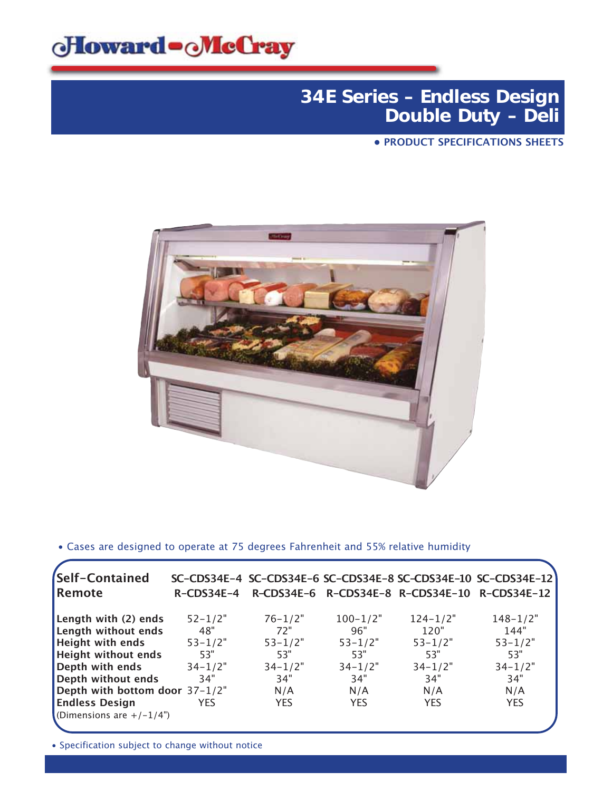

### **34E Series – Endless Design Double Duty – Deli**

**• PRODUCT SPECIFICATIONS SHEETS**



• Cases are designed to operate at 75 degrees Fahrenheit and 55% relative humidity

| Self-Contained                 |               |             |              |              | SC-CDS34E-4 SC-CDS34E-6 SC-CDS34E-8 SC-CDS34E-10 SC-CDS34E-12 |
|--------------------------------|---------------|-------------|--------------|--------------|---------------------------------------------------------------|
| Remote                         | $R$ –CDS34E–4 |             |              |              | R-CDS34E-6 R-CDS34E-8 R-CDS34E-10 R-CDS34E-12                 |
| Length with (2) ends           | $52 - 1/2"$   | $76 - 1/2"$ | $100 - 1/2"$ | $124 - 1/2"$ | $148 - 1/2"$                                                  |
| Length without ends            | 48"           | 72"         | 96"          | 120"         | 144"                                                          |
| <b>Height with ends</b>        | $53 - 1/2"$   | $53 - 1/2"$ | $53 - 1/2"$  | $53 - 1/2"$  | $53 - 1/2"$                                                   |
| <b>Height without ends</b>     | 53"           | 53"         | 53"          | 53"          | 53"                                                           |
| Depth with ends                | $34 - 1/2"$   | $34 - 1/2"$ | $34 - 1/2"$  | $34 - 1/2"$  | $34 - 1/2"$                                                   |
| Depth without ends             | 34"           | 34"         | 34"          | 34"          | 34"                                                           |
| Depth with bottom door 37-1/2" |               | N/A         | N/A          | N/A          | N/A                                                           |
| <b>Endless Design</b>          | <b>YES</b>    | <b>YES</b>  | <b>YES</b>   | <b>YES</b>   | <b>YES</b>                                                    |
| (Dimensions are $+/-1/4$ )     |               |             |              |              |                                                               |
|                                |               |             |              |              |                                                               |

• Specification subject to change without notice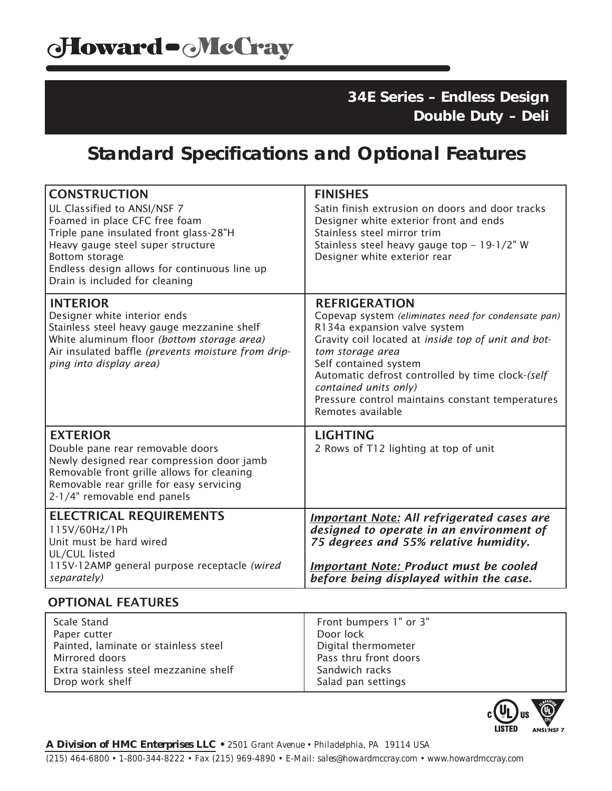Extra stainless steel mezzanine shelf

Drop work shelf

**34E Series – Endless Design Double Duty – Deli**

# **Standard Specifications and Optional Features**

| <b>CONSTRUCTION</b><br>UL Classified to ANSI/NSF 7<br>Foamed in place CFC free foam<br>Triple pane insulated front glass-28"H<br>Heavy gauge steel super structure<br>Bottom storage<br>Endless design allows for continuous line up<br>Drain is included for cleaning | <b>FINISHES</b><br>Satin finish extrusion on doors and door tracks<br>Designer white exterior front and ends<br>Stainless steel mirror trim<br>Stainless steel heavy gauge top - 19-1/2" W<br>Designer white exterior rear                                                                                                                                            |
|------------------------------------------------------------------------------------------------------------------------------------------------------------------------------------------------------------------------------------------------------------------------|-----------------------------------------------------------------------------------------------------------------------------------------------------------------------------------------------------------------------------------------------------------------------------------------------------------------------------------------------------------------------|
| <b>INTERIOR</b><br>Designer white interior ends<br>Stainless steel heavy gauge mezzanine shelf<br>White aluminum floor (bottom storage area)<br>Air insulated baffle (prevents moisture from drip-<br>ping into display area)                                          | <b>REFRIGERATION</b><br>Copevap system (eliminates need for condensate pan)<br>R134a expansion valve system<br>Gravity coil located at inside top of unit and bot-<br>tom storage area<br>Self contained system<br>Automatic defrost controlled by time clock-(self<br>contained units only)<br>Pressure control maintains constant temperatures<br>Remotes available |
| <b>EXTERIOR</b><br>Double pane rear removable doors<br>Newly designed rear compression door jamb<br>Removable front grille allows for cleaning<br>Removable rear grille for easy servicing<br>2-1/4" removable end panels                                              | <b>LIGHTING</b><br>2 Rows of T12 lighting at top of unit                                                                                                                                                                                                                                                                                                              |
| <b>ELECTRICAL REQUIREMENTS</b><br>115V/60Hz/1Ph<br>Unit must be hard wired<br>UL/CUL listed<br>115V-12AMP general purpose receptacle (wired<br>separately)                                                                                                             | <b>Important Note: All refrigerated cases are</b><br>designed to operate in an environment of<br>75 degrees and 55% relative humidity.<br><b>Important Note: Product must be cooled</b><br>before being displayed within the case.                                                                                                                                    |
| <b>OPTIONAL FEATURES</b>                                                                                                                                                                                                                                               |                                                                                                                                                                                                                                                                                                                                                                       |
| <b>Scale Stand</b><br>Paper cutter<br>Painted, laminate or stainless steel<br>Mirrored doors                                                                                                                                                                           | Front bumpers 1" or 3"<br>Door lock<br>Digital thermometer<br>Pass thru front doors                                                                                                                                                                                                                                                                                   |



Sandwich racks Salad pan settings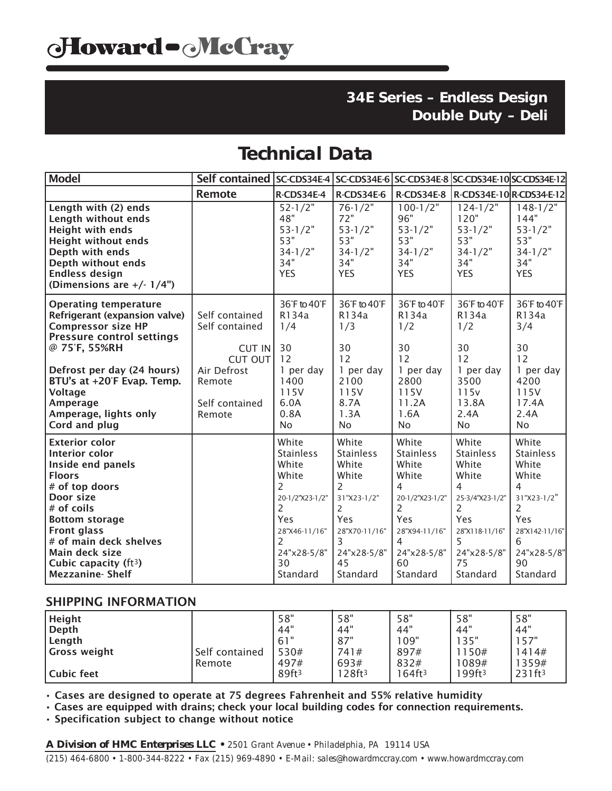### **34E Series – Endless Design Double Duty – Deli**

# **Technical Data**

| Model                                                                                                                                                                                                                                                                                       | Self contained   SC-CDS34E-4   SC-CDS34E-6   SC-CDS34E-8   SC-CDS34E-10   SC-CDS34E-12 |                                                                                                                                               |                                                                                                                                    |                                                                                                                                                                  |                                                                                                                                                      |                                                                                                                                       |
|---------------------------------------------------------------------------------------------------------------------------------------------------------------------------------------------------------------------------------------------------------------------------------------------|----------------------------------------------------------------------------------------|-----------------------------------------------------------------------------------------------------------------------------------------------|------------------------------------------------------------------------------------------------------------------------------------|------------------------------------------------------------------------------------------------------------------------------------------------------------------|------------------------------------------------------------------------------------------------------------------------------------------------------|---------------------------------------------------------------------------------------------------------------------------------------|
|                                                                                                                                                                                                                                                                                             | <b>Remote</b>                                                                          | $R$ -CDS34E-4                                                                                                                                 | R-CDS34E-6                                                                                                                         |                                                                                                                                                                  | R-CDS34E-8   R-CDS34E-10   R-CDS34-E-12                                                                                                              |                                                                                                                                       |
| Length with (2) ends<br>Length without ends<br><b>Height with ends</b><br><b>Height without ends</b><br>Depth with ends<br>Depth without ends<br><b>Endless design</b><br>(Dimensions are $+/- 1/4$ ")                                                                                      |                                                                                        | $52 - 1/2"$<br>48"<br>$53 - 1/2"$<br>53"<br>$34 - 1/2"$<br>34"<br><b>YES</b>                                                                  | $76 - 1/2"$<br>72"<br>$53 - 1/2"$<br>53"<br>$34 - 1/2"$<br>34"<br><b>YES</b>                                                       | $100 - 1/2"$<br>96"<br>$53 - 1/2"$<br>53"<br>$34 - 1/2"$<br>34"<br><b>YES</b>                                                                                    | $124 - 1/2"$<br>120"<br>$53 - 1/2"$<br>53"<br>$34 - 1/2"$<br>34"<br><b>YES</b>                                                                       | $148 - 1/2$<br>144"<br>$53 - 1/2"$<br>53"<br>$34 - 1/2"$<br>34"<br><b>YES</b>                                                         |
| <b>Operating temperature</b><br>Refrigerant (expansion valve)<br><b>Compressor size HP</b><br><b>Pressure control settings</b><br>@ 75°F, 55%RH                                                                                                                                             | Self contained<br>Self contained<br>CUT IN<br>CUT OUT                                  | 36°F to 40°F<br>R134a<br>1/4<br>30<br>12                                                                                                      | 36°F to 40°F<br>R134a<br>1/3<br>30<br>12                                                                                           | 36°F to 40°F<br>R134a<br>1/2<br>30<br>12                                                                                                                         | 36°F to 40°F<br>R134a<br>1/2<br>30<br>12                                                                                                             | 36°F to 40°F<br>R134a<br>3/4<br>30<br>12                                                                                              |
| Defrost per day (24 hours)<br>BTU's at +20°F Evap. Temp.<br><b>Voltage</b><br>Amperage<br>Amperage, lights only<br>Cord and plug                                                                                                                                                            | Air Defrost<br>Remote<br>Self contained<br>Remote                                      | 1 per day<br>1400<br>115V<br>6.0A<br>0.8A<br><b>No</b>                                                                                        | 1 per day<br>2100<br>115V<br>8.7A<br>1.3A<br><b>No</b>                                                                             | 1 per day<br>2800<br>115V<br>11.2A<br>1.6A<br><b>No</b>                                                                                                          | 1 per day<br>3500<br>115v<br>13.8A<br>2.4A<br><b>No</b>                                                                                              | 1 per day<br>4200<br>115V<br>17.4A<br>2.4A<br><b>No</b>                                                                               |
| <b>Exterior color</b><br><b>Interior color</b><br>Inside end panels<br><b>Floors</b><br># of top doors<br>Door size<br># of coils<br><b>Bottom storage</b><br><b>Front glass</b><br># of main deck shelves<br>Main deck size<br>Cubic capacity (ft <sup>3</sup> )<br><b>Mezzanine-Shelf</b> |                                                                                        | White<br><b>Stainless</b><br>White<br>White<br>2<br>20-1/2"X23-1/2"<br>2<br><b>Yes</b><br>28"X46-11/16"<br>2<br>24"x28-5/8"<br>30<br>Standard | White<br><b>Stainless</b><br>White<br>White<br>2<br>31"X23-1/2"<br>2<br>Yes<br>28"X70-11/16"<br>3<br>24"x28-5/8"<br>45<br>Standard | White<br><b>Stainless</b><br>White<br>White<br>$\overline{4}$<br>20-1/2"X23-1/2"<br>2<br>Yes<br>28"X94-11/16"<br>$\overline{4}$<br>24"x28-5/8"<br>60<br>Standard | White<br><b>Stainless</b><br>White<br>White<br>4<br>25-3/4"X23-1/2"<br>$\overline{2}$<br>Yes<br>28"X118-11/16"<br>5<br>24"x28-5/8"<br>75<br>Standard | White<br><b>Stainless</b><br>White<br>White<br>4<br>$31"X23-1/2"$<br>2<br>Yes<br>28"X142-11/16"<br>6<br>24"x28-5/8"<br>90<br>Standard |

#### SHIPPING INFORMATION

| <b>Height</b> |                | 58"                       | 58"                        | 58"                        | 58"                        | 58"                         |
|---------------|----------------|---------------------------|----------------------------|----------------------------|----------------------------|-----------------------------|
| Depth         |                | 44"                       | 44"                        | 44"                        | 44"                        | 44"                         |
| Length        | Self contained | 61"                       | 87"                        | 109"                       | 135"                       | 157"                        |
| Gross weight  |                | 530#                      | 741#                       | 897#                       | 150#                       | 1414#                       |
| Cubic feet    | Remote         | 497#<br>89ft <sup>3</sup> | 693#<br>128ft <sup>3</sup> | 832#<br>164ft <sup>3</sup> | 1089#<br>99ft <sup>3</sup> | 1359#<br>231ft <sup>3</sup> |

• Cases are designed to operate at 75 degrees Fahrenheit and 55% relative humidity

• Cases are equipped with drains; check your local building codes for connection requirements.

• Specification subject to change without notice

*A Division of HMC Enterprises LLC • 2501 Grant Avenue • Philadelphia, PA 19114 USA (215) 464-6800 • 1-800-344-8222 • Fax (215) 969-4890 • E-Mail: sales@howardmccray.com • www.howardmccray.com*